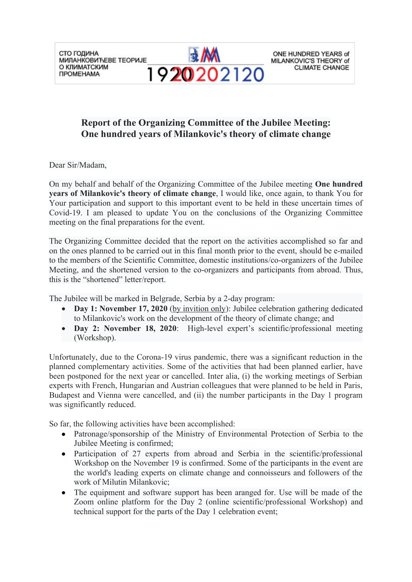СТО ГОДИНА **МИЛАНКОВИЋЕВЕ ТЕОРИЈЕ** О КЛИМАТСКИМ **ПРОМЕНАМА** 



ONE HUNDRED YEARS of MILANKOVIC'S THEORY of **CLIMATE CHANGE** 

## **Report of the Organizing Committee of the Jubilee Meeting: One hundred years of Milankovic's theory of climate change**

Dear Sir/Madam,

On my behalf and behalf of the Organizing Committee of the Jubilee meeting **One hundred years of Milankovic's theory of climate change**, I would like, once again, to thank You for Your participation and support to this important event to be held in these uncertain times of Covid-19. I am pleased to update You on the conclusions of the Organizing Committee meeting on the final preparations for the event.

The Organizing Committee decided that the report on the activities accomplished so far and on the ones planned to be carried out in this final month prior to the event, should be e-mailed to the members of the Scientific Committee, domestic institutions/co-organizers of the Jubilee Meeting, and the shortened version to the co-organizers and participants from abroad. Thus, this is the "shortened" letter/report.

The Jubilee will be marked in Belgrade, Serbia by a 2-day program:

- **Day 1: November 17, 2020** (by invition only): Jubilee celebration gathering dedicated to Milankovic's work on the development of the theory of climate change; and
- **Day 2: November 18, 2020**: High-level expert's scientific/professional meeting (Workshop).

Unfortunately, due to the Corona-19 virus pandemic, there was a significant reduction in the planned complementary activities. Some of the activities that had been planned earlier, have been postponed for the next year or cancelled. Inter alia, (i) the working meetings of Serbian experts with French, Hungarian and Austrian colleagues that were planned to be held in Paris, Budapest and Vienna were cancelled, and (ii) the number participants in the Day 1 program was significantly reduced.

So far, the following activities have been accomplished:

- Patronage/sponsorship of the Ministry of Environmental Protection of Serbia to the Jubilee Meeting is confirmed;
- Participation of 27 experts from abroad and Serbia in the scientific/professional Workshop on the November 19 is confirmed. Some of the participants in the event are the world's leading experts on climate change and connoisseurs and followers of the work of Milutin Milankovic;
- The equipment and software support has been aranged for. Use will be made of the Zoom online platform for the Day 2 (online scientific/professional Workshop) and technical support for the parts of the Day 1 celebration event;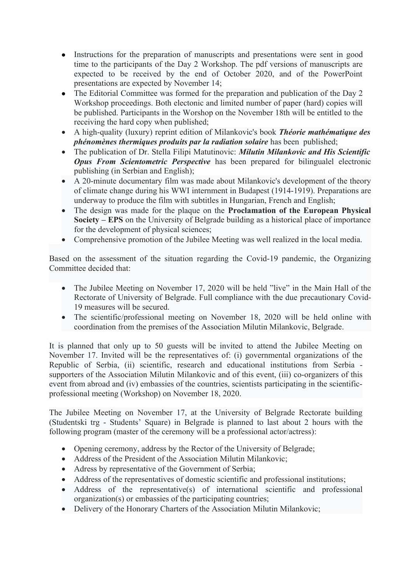- Instructions for the preparation of manuscripts and presentations were sent in good time to the participants of the Day 2 Workshop. The pdf versions of manuscripts are expected to be received by the end of October 2020, and of the PowerPoint presentations are expected by November 14;
- The Editorial Committee was formed for the preparation and publication of the Day 2 Workshop proceedings. Both electonic and limited number of paper (hard) copies will be published. Participants in the Worshop on the November 18th will be entitled to the receiving the hard copy when published;
- A high-quality (luxury) reprint edition of Milankovic's book *Théorie mathématique des phénomènes thermiques produits par la radiation solaire* has been published;
- The publication of Dr. Stella Filipi Matutinovic: *Milutin Milankovic and His Scientific Opus From Scientometric Perspective* has been prepared for bilingualel electronic publishing (in Serbian and English);
- A 20-minute documentary film was made about Milankovic's development of the theory of climate change during his WWI internment in Budapest (1914-1919). Preparations are underway to produce the film with subtitles in Hungarian, French and English;
- The design was made for the plaque on the **Proclamation of the European Physical Society – EPS** on the University of Belgrade building as a historical place of importance for the development of physical sciences;
- Comprehensive promotion of the Jubilee Meeting was well realized in the local media.

Based on the assessment of the situation regarding the Covid-19 pandemic, the Organizing Committee decided that:

- The Jubilee Meeting on November 17, 2020 will be held "live" in the Main Hall of the Rectorate of University of Belgrade. Full compliance with the due precautionary Covid-19 measures will be secured.
- The scientific/professional meeting on November 18, 2020 will be held online with coordination from the premises of the Association Milutin Milankovic, Belgrade.

It is planned that only up to 50 guests will be invited to attend the Jubilee Meeting on November 17. Invited will be the representatives of: (i) governmental organizations of the Republic of Serbia, (ii) scientific, research and educational institutions from Serbia supporters of the Association Milutin Milankovic and of this event, (iii) co-organizers of this event from abroad and (iv) embassies of the countries, scientists participating in the scientificprofessional meeting (Workshop) on November 18, 2020.

The Jubilee Meeting on November 17, at the University of Belgrade Rectorate building (Studentski trg - Students' Square) in Belgrade is planned to last about 2 hours with the following program (master of the ceremony will be a professional actor/actress):

- Opening ceremony, address by the Rector of the University of Belgrade;
- Address of the President of the Association Milutin Milankovic;
- Adress by representative of the Government of Serbia;
- Address of the representatives of domestic scientific and professional institutions;
- Address of the representative(s) of international scientific and professional organization(s) or embassies of the participating countries;
- Delivery of the Honorary Charters of the Association Milutin Milankovic;